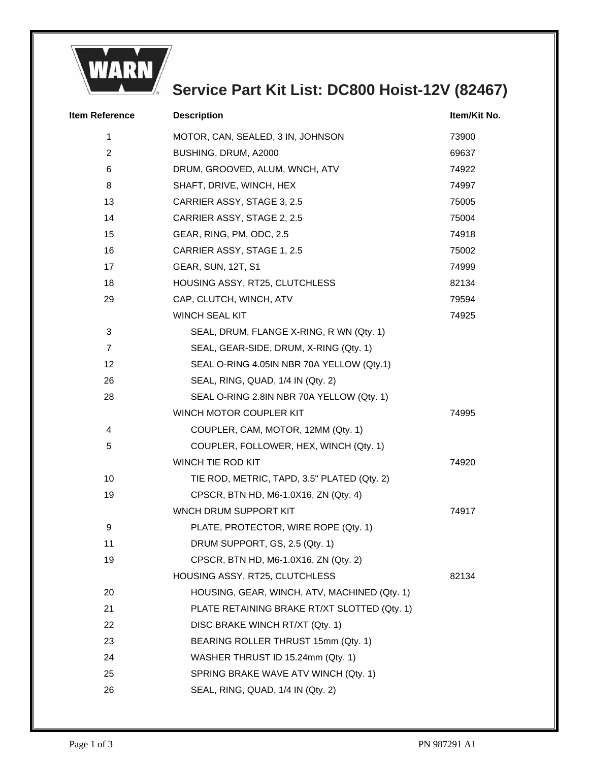

## **Service Part Kit List: DC800 Hoist-12V (82467)**

| <b>Item Reference</b> | <b>Description</b>                           | Item/Kit No. |
|-----------------------|----------------------------------------------|--------------|
| 1                     | MOTOR, CAN, SEALED, 3 IN, JOHNSON            | 73900        |
| $\overline{2}$        | BUSHING, DRUM, A2000                         | 69637        |
| 6                     | DRUM, GROOVED, ALUM, WNCH, ATV               | 74922        |
| 8                     | SHAFT, DRIVE, WINCH, HEX                     | 74997        |
| 13                    | CARRIER ASSY, STAGE 3, 2.5                   | 75005        |
| 14                    | CARRIER ASSY, STAGE 2, 2.5                   | 75004        |
| 15                    | GEAR, RING, PM, ODC, 2.5                     | 74918        |
| 16                    | CARRIER ASSY, STAGE 1, 2.5                   | 75002        |
| 17                    | <b>GEAR, SUN, 12T, S1</b>                    | 74999        |
| 18                    | HOUSING ASSY, RT25, CLUTCHLESS               | 82134        |
| 29                    | CAP, CLUTCH, WINCH, ATV                      | 79594        |
|                       | <b>WINCH SEAL KIT</b>                        | 74925        |
| 3                     | SEAL, DRUM, FLANGE X-RING, R WN (Qty. 1)     |              |
| $\overline{7}$        | SEAL, GEAR-SIDE, DRUM, X-RING (Qty. 1)       |              |
| 12                    | SEAL O-RING 4.05IN NBR 70A YELLOW (Qty.1)    |              |
| 26                    | SEAL, RING, QUAD, 1/4 IN (Qty. 2)            |              |
| 28                    | SEAL O-RING 2.8IN NBR 70A YELLOW (Qty. 1)    |              |
|                       | WINCH MOTOR COUPLER KIT                      | 74995        |
| 4                     | COUPLER, CAM, MOTOR, 12MM (Qty. 1)           |              |
| 5                     | COUPLER, FOLLOWER, HEX, WINCH (Qty. 1)       |              |
|                       | WINCH TIE ROD KIT                            | 74920        |
| 10                    | TIE ROD, METRIC, TAPD, 3.5" PLATED (Qty. 2)  |              |
| 19                    | CPSCR, BTN HD, M6-1.0X16, ZN (Qty. 4)        |              |
|                       | WNCH DRUM SUPPORT KIT                        | 74917        |
| $\boldsymbol{9}$      | PLATE, PROTECTOR, WIRE ROPE (Qty. 1)         |              |
| 11                    | DRUM SUPPORT, GS, 2.5 (Qty. 1)               |              |
| 19                    | CPSCR, BTN HD, M6-1.0X16, ZN (Qty. 2)        |              |
|                       | HOUSING ASSY, RT25, CLUTCHLESS               | 82134        |
| 20                    | HOUSING, GEAR, WINCH, ATV, MACHINED (Qty. 1) |              |
| 21                    | PLATE RETAINING BRAKE RT/XT SLOTTED (Qty. 1) |              |
| 22                    | DISC BRAKE WINCH RT/XT (Qty. 1)              |              |
| 23                    | BEARING ROLLER THRUST 15mm (Qty. 1)          |              |
| 24                    | WASHER THRUST ID 15.24mm (Qty. 1)            |              |
| 25                    | SPRING BRAKE WAVE ATV WINCH (Qty. 1)         |              |
| 26                    | SEAL, RING, QUAD, 1/4 IN (Qty. 2)            |              |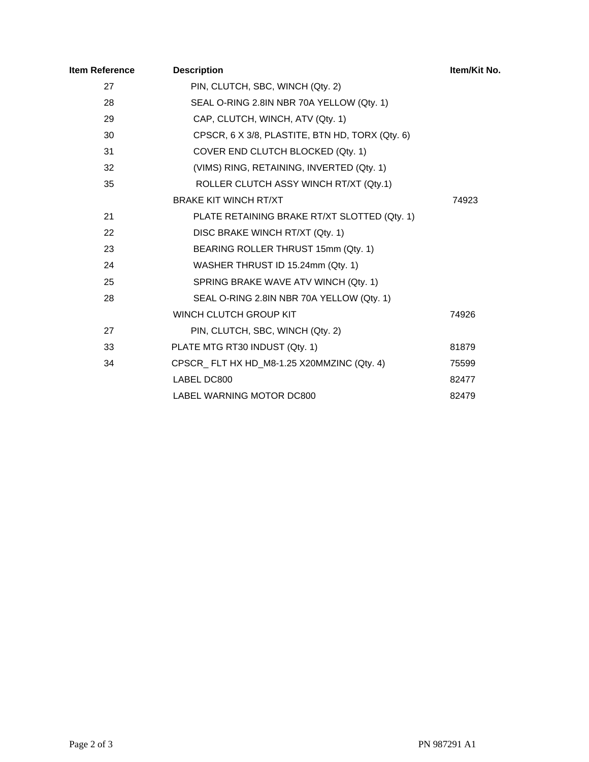| ltem Reference | <b>Description</b>                              | Item/Kit No. |
|----------------|-------------------------------------------------|--------------|
| 27             | PIN, CLUTCH, SBC, WINCH (Qty. 2)                |              |
| 28             | SEAL O-RING 2.8IN NBR 70A YELLOW (Qty. 1)       |              |
| 29             | CAP, CLUTCH, WINCH, ATV (Qty. 1)                |              |
| 30             | CPSCR, 6 X 3/8, PLASTITE, BTN HD, TORX (Qty. 6) |              |
| 31             | COVER END CLUTCH BLOCKED (Qty. 1)               |              |
| 32             | (VIMS) RING, RETAINING, INVERTED (Qty. 1)       |              |
| 35             | ROLLER CLUTCH ASSY WINCH RT/XT (Qty.1)          |              |
|                | <b>BRAKE KIT WINCH RT/XT</b>                    | 74923        |
| 21             | PLATE RETAINING BRAKE RT/XT SLOTTED (Qty. 1)    |              |
| 22             | DISC BRAKE WINCH RT/XT (Qty. 1)                 |              |
| 23             | BEARING ROLLER THRUST 15mm (Qty. 1)             |              |
| 24             | WASHER THRUST ID 15.24mm (Qty. 1)               |              |
| 25             | SPRING BRAKE WAVE ATV WINCH (Qty. 1)            |              |
| 28             | SEAL O-RING 2.8IN NBR 70A YELLOW (Qty. 1)       |              |
|                | WINCH CLUTCH GROUP KIT                          | 74926        |
| 27             | PIN, CLUTCH, SBC, WINCH (Qty. 2)                |              |
| 33             | PLATE MTG RT30 INDUST (Qty. 1)                  | 81879        |
| 34             | CPSCR_FLT HX HD_M8-1.25 X20MMZINC (Qty. 4)      | 75599        |
|                | LABEL DC800                                     | 82477        |
|                | LABEL WARNING MOTOR DC800                       | 82479        |